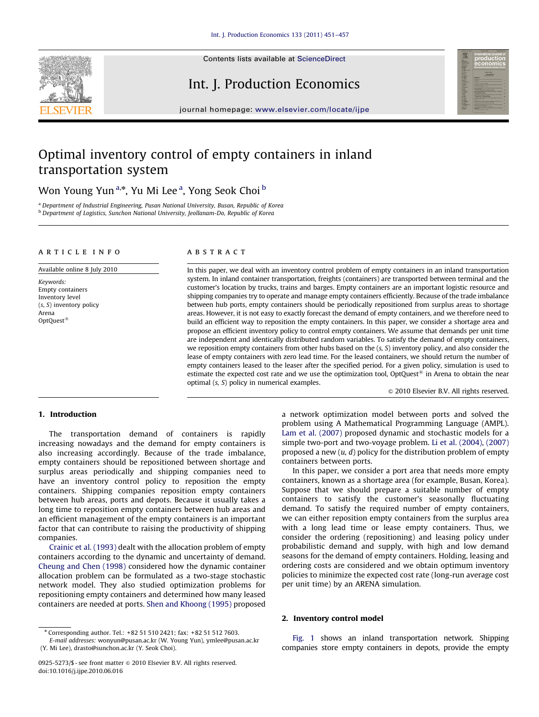

Contents lists available at ScienceDirect

# Int. J. Production Economics



journal homepage: <www.elsevier.com/locate/ijpe>

# Optimal inventory control of empty containers in inland transportation system

Won Young Yun<sup>a,\*</sup>, Yu Mi Lee <sup>a</sup>, Yong Seok Choi <sup>b</sup>

<sup>a</sup> Department of Industrial Engineering, Pusan National University, Busan, Republic of Korea b Department of Logistics, Sunchon National University, Jeollanam-Do, Republic of Korea

#### article info

Available online 8 July 2010

Keywords: Empty containers Inventory level (s, S) inventory policy Arena OptQuest $^{\circledR}$ 

## **ABSTRACT**

In this paper, we deal with an inventory control problem of empty containers in an inland transportation system. In inland container transportation, freights (containers) are transported between terminal and the customer's location by trucks, trains and barges. Empty containers are an important logistic resource and shipping companies try to operate and manage empty containers efficiently. Because of the trade imbalance between hub ports, empty containers should be periodically repositioned from surplus areas to shortage areas. However, it is not easy to exactly forecast the demand of empty containers, and we therefore need to build an efficient way to reposition the empty containers. In this paper, we consider a shortage area and propose an efficient inventory policy to control empty containers. We assume that demands per unit time are independent and identically distributed random variables. To satisfy the demand of empty containers, we reposition empty containers from other hubs based on the  $(s, S)$  inventory policy, and also consider the lease of empty containers with zero lead time. For the leased containers, we should return the number of empty containers leased to the leaser after the specified period. For a given policy, simulation is used to estimate the expected cost rate and we use the optimization tool,  $OptQuest^{\circledR}$  in Arena to obtain the near optimal (s, S) policy in numerical examples.

 $\odot$  2010 Elsevier B.V. All rights reserved.

# 1. Introduction

The transportation demand of containers is rapidly increasing nowadays and the demand for empty containers is also increasing accordingly. Because of the trade imbalance, empty containers should be repositioned between shortage and surplus areas periodically and shipping companies need to have an inventory control policy to reposition the empty containers. Shipping companies reposition empty containers between hub areas, ports and depots. Because it usually takes a long time to reposition empty containers between hub areas and an efficient management of the empty containers is an important factor that can contribute to raising the productivity of shipping companies.

[Crainic et al. \(1993\)](#page--1-0) dealt with the allocation problem of empty containers according to the dynamic and uncertainty of demand. [Cheung and Chen \(1998\)](#page--1-0) considered how the dynamic container allocation problem can be formulated as a two-stage stochastic network model. They also studied optimization problems for repositioning empty containers and determined how many leased containers are needed at ports. [Shen and Khoong \(1995\)](#page--1-0) proposed

a network optimization model between ports and solved the problem using A Mathematical Programming Language (AMPL). [Lam et al. \(2007\)](#page--1-0) proposed dynamic and stochastic models for a simple two-port and two-voyage problem. [Li et al. \(2004\),](#page--1-0) [\(2007\)](#page--1-0) proposed a new  $(u, d)$  policy for the distribution problem of empty containers between ports.

In this paper, we consider a port area that needs more empty containers, known as a shortage area (for example, Busan, Korea). Suppose that we should prepare a suitable number of empty containers to satisfy the customer's seasonally fluctuating demand. To satisfy the required number of empty containers, we can either reposition empty containers from the surplus area with a long lead time or lease empty containers. Thus, we consider the ordering (repositioning) and leasing policy under probabilistic demand and supply, with high and low demand seasons for the demand of empty containers. Holding, leasing and ordering costs are considered and we obtain optimum inventory policies to minimize the expected cost rate (long-run average cost per unit time) by an ARENA simulation.

## 2. Inventory control model

[Fig. 1](#page-1-0) shows an inland transportation network. Shipping companies store empty containers in depots, provide the empty

<sup>n</sup> Corresponding author. Tel.: +82 51 510 2421; fax: +82 51 512 7603.

E-mail addresses: [wonyun@pusan.ac.kr \(W. Young Yun\),](mailto:wonyun@pusan.ac.kr) [ymlee@pusan.ac.kr](mailto:ymlee@pusan.ac.kr) [\(Y. Mi Lee\)](mailto:ymlee@pusan.ac.kr), [drasto@sunchon.ac.kr \(Y. Seok Choi\).](mailto:drasto@sunchon.ac.kr)

<sup>0925-5273/\$ -</sup> see front matter  $\circ$  2010 Elsevier B.V. All rights reserved. doi:[10.1016/j.ijpe.2010.06.016](dx.doi.org/10.1016/j.ijpe.2010.06.016)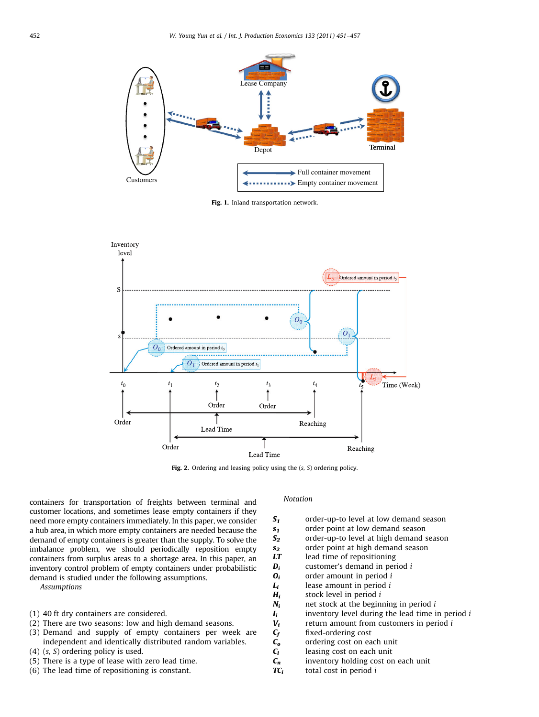<span id="page-1-0"></span>

Fig. 1. Inland transportation network.



Fig. 2. Ordering and leasing policy using the (s, S) ordering policy.

containers for transportation of freights between terminal and customer locations, and sometimes lease empty containers if they need more empty containers immediately. In this paper, we consider a hub area, in which more empty containers are needed because the demand of empty containers is greater than the supply. To solve the imbalance problem, we should periodically reposition empty containers from surplus areas to a shortage area. In this paper, an inventory control problem of empty containers under probabilistic demand is studied under the following assumptions.

Assumptions

- (1) 40 ft dry containers are considered.
- (2) There are two seasons: low and high demand seasons.
- (3) Demand and supply of empty containers per week are independent and identically distributed random variables.
- $(4)$   $(s, S)$  ordering policy is used.
- (5) There is a type of lease with zero lead time.
- (6) The lead time of repositioning is constant.

### Notation

- S<sub>1</sub> order-up-to level at low demand season s<sub>1</sub> order point at low demand season S<sub>2</sub> order-up-to level at high demand season s<sub>2</sub> order point at high demand season
- LT lead time of repositioning
- $D_i$  customer's demand in period i
	-
- $\mathbf{O}_i$  order amount in period *i*<br> $\mathbf{L}_i$  lease amount in period *i*
- $L_i$  lease amount in period *i*<br> $H_i$  stock level in period *i* stock level in period  $i$
- $N_i$  net stock at the beginning in period i
	-
- *I<sub>i</sub>* inventory level during the lead time in period *i*<br>  $V_i$  return amount from customers in period *i*<br>  $C_f$  fixed-ordering cost<br>  $C_o$  ordering cost on each unit<br>  $C_l$  leasing cost on each unit<br>  $C_n$  inventory holding return amount from customers in period  $i$ 
	- fixed-ordering cost
	- ordering cost on each unit
	- leasing cost on each unit
- $C_n$  inventory holding cost on each unit<br>  $TC_i$  total cost in period *i* 
	- total cost in period  $i$